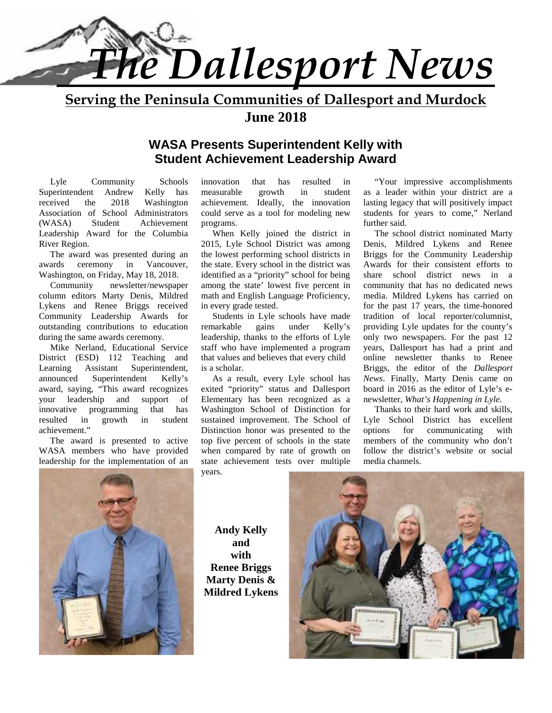

**Serving the Peninsula Communities of Dallesport and Murdock June 2018**

#### **WASA Presents Superintendent Kelly with Student Achievement Leadership Award**

Lyle Community Schools Superintendent Andrew Kelly has received the 2018 Washington Association of School Administrators (WASA) Student Achievement Leadership Award for the Columbia River Region.

The award was presented during an awards ceremony in Vancouver, Washington, on Friday, May 18, 2018.

Community newsletter/newspaper column editors Marty Denis, Mildred Lykens and Renee Briggs received Community Leadership Awards for outstanding contributions to education during the same awards ceremony.

Mike Nerland, Educational Service District (ESD) 112 Teaching and Learning Assistant Superintendent, announced Superintendent Kelly's award, saying, "This award recognizes your leadership and support of innovative programming that has resulted in growth in student achievement."

The award is presented to active WASA members who have provided leadership for the implementation of an

innovation that has resulted in measurable growth in student achievement. Ideally, the innovation could serve as a tool for modeling new programs.

When Kelly joined the district in 2015, Lyle School District was among the lowest performing school districts in the state. Every school in the district was identified as a "priority" school for being among the state' lowest five percent in math and English Language Proficiency, in every grade tested.

Students in Lyle schools have made<br>narkable gains under Kelly's remarkable gains under Kelly's leadership, thanks to the efforts of Lyle staff who have implemented a program that values and believes that every child is a scholar.

As a result, every Lyle school has exited "priority" status and Dallesport Elementary has been recognized as a Washington School of Distinction for sustained improvement. The School of Distinction honor was presented to the options top five percent of schools in the state when compared by rate of growth on state achievement tests over multiple years.

"Your impressive accomplishments as a leader within your district are a lasting legacy that will positively impact students for years to come," Nerland further said.

The school district nominated Marty Denis, Mildred Lykens and Renee Briggs for the Community Leadership Awards for their consistent efforts to share school district news in a community that has no dedicated news media. Mildred Lykens has carried on for the past 17 years, the time-honored tradition of local reporter/columnist, providing Lyle updates for the county's only two newspapers. For the past 12 years, Dallesport has had a print and online newsletter thanks to Renee Briggs, the editor of the *Dallesport News*. Finally, Marty Denis came on board in 2016 as the editor of Lyle's e newsletter, *What's Happening in Lyle*.

Thanks to their hard work and skills, Lyle School District has excellent for communicating with members of the community who don't follow the district's website or social media channels.



**Andy Kelly and with Renee Briggs Marty Denis & Mildred Lykens**

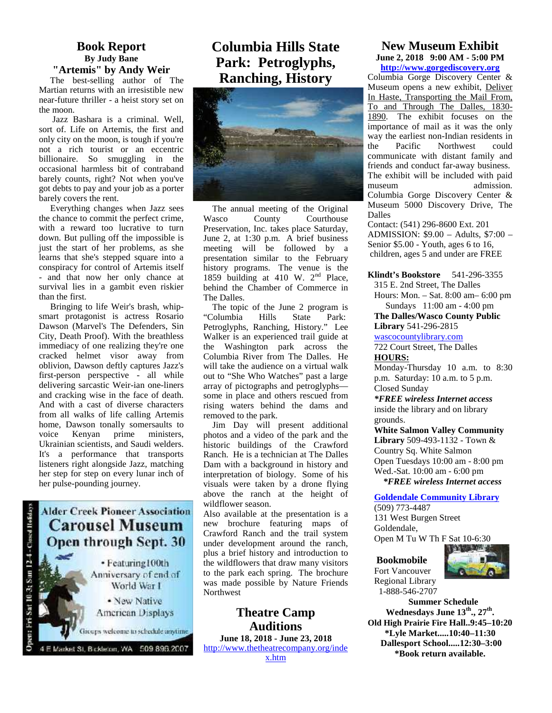#### **Book Report By Judy Bane "Artemis" by Andy Weir**

The best-selling author of The Martian returns with an irresistible new near-future thriller - a heist story set on the moon.

Jazz Bashara is a criminal. Well, sort of. Life on Artemis, the first and only city on the moon, is tough if you're not a rich tourist or an eccentric billionaire. So smuggling in the occasional harmless bit of contraband barely counts, right? Not when you've got debts to pay and your job as a porter barely covers the rent.

Everything changes when Jazz sees the chance to commit the perfect crime, with a reward too lucrative to turn down. But pulling off the impossible is just the start of her problems, as she learns that she's stepped square into a conspiracy for control of Artemis itself - and that now her only chance at survival lies in a gambit even riskier than the first.

Bringing to life Weir's brash, whip smart protagonist is actress Rosario Dawson (Marvel's The Defenders, Sin City, Death Proof). With the breathless immediacy of one realizing they're one cracked helmet visor away from oblivion, Dawson deftly captures Jazz's first-person perspective - all while delivering sarcastic Weir-ian one-liners and cracking wise in the face of death. And with a cast of diverse characters from all walks of life calling Artemis home, Dawson tonally somersaults to voice Kenyan prime ministers, Ukrainian scientists, and Saudi welders. It's a performance that transports listeners right alongside Jazz, matching her step for step on every lunar inch of her pulse-pounding journey.

# $10-3$ ; Sun  $12-4$  - Closed Henday

**Alder Creek Pioneer Association Carousel Museum Open through Sept. 30** 

> · Featuring 100th Anniversary of end of World War I

· New Native **American Displays** 

Groups welcome to schedule anytime

4 E Market St, Bickleton, WA 509 896 2007

### **Columbia Hills State Park: Petroglyphs, Ranching, History**



The annual meeting of the Original Wasco County Courthouse Preservation, Inc. takes place Saturday, June 2, at 1:30 p.m. A brief business meeting will be followed by a presentation similar to the February history programs. The venue is the 1859 building at 410 W. 2<sup>nd</sup> Place, behind the Chamber of Commerce in The Dalles.

The topic of the June 2 program is<br>
Columbia Hills State Park: "Columbia Hills State Park: Petroglyphs, Ranching, History." Lee Walker is an experienced trail guide at the Washington park across the Columbia River from The Dalles. He will take the audience on a virtual walk out to "She Who Watches" past a large array of pictographs and petroglyphs some in place and others rescued from rising waters behind the dams and removed to the park.

Jim Day will present additional photos and a video of the park and the historic buildings of the Crawford Ranch. He is a technician at The Dalles Dam with a background in history and interpretation of biology. Some of his visuals were taken by a drone flying above the ranch at the height of wildflower season.

Also available at the presentation is a new brochure featuring maps of Crawford Ranch and the trail system under development around the ranch, plus a brief history and introduction to the wildflowers that draw many visitors to the park each spring. The brochure was made possible by Nature Friends Northwest

#### **Theatre Camp Auditions**

**June 18, 2018 - June 23, 2018** http://www.thetheatrecompany.org/inde

x.htm

#### **New Museum Exhibit June 2, 2018 9:00 AM - 5:00 PM http://www.gorgediscovery.org**

Columbia Gorge Discovery Center & Museum opens a new exhibit, Deliver In Haste, Transporting the Mail From, To and Through The Dalles, 1830- 1890. The exhibit focuses on the importance of mail as it was the only way the earliest non-Indian residents in<br>the Pacific Northwest could the Pacific Northwest could communicate with distant family and friends and conduct far-away business. The exhibit will be included with paid museum admission. Columbia Gorge Discovery Center & Museum 5000 Discovery Drive, The Dalles

Contact: (541) 296-8600 Ext. 201 ADMISSION: \$9.00 – Adults, \$7:00 – Senior \$5.00 - Youth, ages 6 to 16, children, ages 5 and under are FREE

**Klindt's Bookstore** 541-296-3355

315 E. 2nd Street, The Dalles Hours: Mon. – Sat. 8:00 am– 6:00 pm Sundays 11:00 am - 4:00 pm

**The Dalles/Wasco County Public Library** 541-296-2815

wascocountylibrary.com 722 Court Street, The Dalles **HOURS:**

Monday-Thursday 10 a.m. to 8:30 p.m. Saturday: 10 a.m. to 5 p.m. Closed Sunday

*\*FREE wireless Internet access* inside the library and on library grounds.

**White Salmon Valley Community Library** 509-493-1132 - Town & Country Sq. White Salmon Open Tuesdays 10:00 am - 8:00 pm Wed.-Sat. 10:00 am - 6:00 pm  *\*FREE wireless Internet access*

**Goldendale Community Library**

(509) 773-4487 131 West Burgen Street Goldendale,

Open M Tu W Th F Sat 10-6:30

#### **Bookmobile**



Fort Vancouver Regional Library 1-888-546-2707

**Summer Schedule Wednesdays June 13th ., 27th . Old High Prairie Fire Hall..9:45–10:20 \*Lyle Market.....10:40–11:30 Dallesport School.....12:30–3:00 \*Book return available.**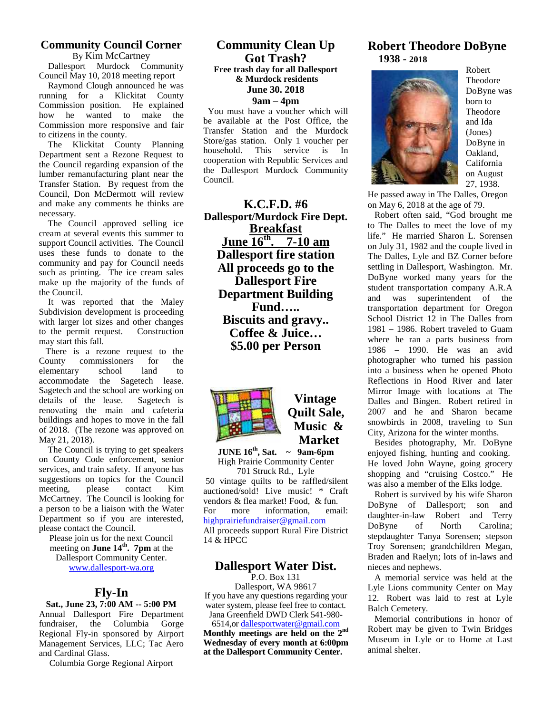#### **Community Council Corner** By Kim McCartney

Dallesport Murdock Community Council May 10, 2018 meeting report

Raymond Clough announced he was running for a Klickitat County Commission position. He explained how he wanted to make the Commission more responsive and fair to citizens in the county.

The Klickitat County Planning Store/gas support of the Klickitat County Planning Store/gas support of the Klickitan County Planning Store/gas support of the Klickitan County Planning Store (September 2013) Department sent a Rezone Request to the Council regarding expansion of the lumber remanufacturing plant near the Transfer Station. By request from the Council, Don McDermott will review and make any comments he thinks are necessary.

The Council approved selling ice cream at several events this summer to support Council activities. The Council uses these funds to donate to the community and pay for Council needs such as printing. The ice cream sales make up the majority of the funds of the Council.

It was reported that the Maley Subdivision development is proceeding with larger lot sizes and other changes to the permit request. Construction may start this fall.

There is a rezone request to the County commissioners for the<br>elementary school land to elementary school land to accommodate the Sagetech lease. Sagetech and the school are working on<br>details of the lease. Sagetech is details of the lease. renovating the main and cafeteria buildings and hopes to move in the fall of 2018. (The rezone was approved on May 21, 2018).

The Council is trying to get speakers on County Code enforcement, senior services, and train safety. If anyone has suggestions on topics for the Council meeting, please contact Kim auctioned/sold! Live music! \* Craft McCartney. The Council is looking for a person to be a liaison with the Water Department so if you are interested, please contact the Council.

Please join us for the next Council meeting on **June 14th . 7pm** at the

Dallesport Community Center. www.dallesport-wa.org

#### **Fly-In**

**Sat., June 23, 7:00 AM -- 5:00 PM** Annual Dallesport Fire Department fundraiser, the Columbia Gorge Regional Fly-in sponsored by Airport Management Services, LLC; Tac Aero and Cardinal Glass.

Columbia Gorge Regional Airport

#### **Community Clean Up Got Trash? Free trash day for all Dallesport & Murdock residents June 30. 2018 9am – 4pm**

 You must have a voucher which will be available at the Post Office, the Transfer Station and the Murdock Store/gas station. Only 1 voucher per This service is In cooperation with Republic Services and the Dallesport Murdock Community Council.

**K.C.F.D. #6 Dallesport/Murdock Fire Dept. Breakfast June 16<sup>th</sup>. 7-10 am** life." He **Dallesport fire station All proceeds go to the Dallesport Fire Department Building Fund….. Biscuits and gravy.. Coffee & Juice… \$5.00 per Person**



#### **Vintage Quilt Sale, Music & Market**

**JUNE 16th, Sat. ~ 9am-6pm** High Prairie Community Center 701 Struck Rd., Lyle

50 vintage quilts to be raffled/silent vendors & flea market! Food, & fun. more information, email: For more mormation, email. daughter-in-law<br>highprairiefundraiser@gmail.com All proceeds support Rural Fire District 14 & HPCC

#### **Dallesport Water Dist.**

P.O. Box 131 Dallesport, WA 98617 If you have any questions regarding your water system, please feel free to contact. Jana Greenfield DWD Clerk 541-980-

6514,or dallesportwater@gmail.com **Monthly meetings are held on the 2nd Wednesday of every month at 6:00pm at the Dallesport Community Center.**

#### **Robert Theodore DoByne 1938 - 2018**



Robert Theodore DoByne was born to Theodore and Ida (Jones) DoByne in Oakland, California on August 27, 1938.

He passed away in The Dalles, Oregon on May 6, 2018 at the age of 79.

 Robert often said, "God brought me to The Dalles to meet the love of my life." He married Sharon L. Sorensen on July 31, 1982 and the couple lived in The Dalles, Lyle and BZ Corner before settling in Dallesport, Washington. Mr. DoByne worked many years for the student transportation company A.R.A and was superintendent of the transportation department for Oregon School District 12 in The Dalles from 1981 – 1986. Robert traveled to Guam where he ran a parts business from 1986 – 1990. He was an avid photographer who turned his passion into a business when he opened Photo Reflections in Hood River and later Mirror Image with locations at The Dalles and Bingen. Robert retired in 2007 and he and Sharon became snowbirds in 2008, traveling to Sun City, Arizona for the winter months.

 Besides photography, Mr. DoByne enjoyed fishing, hunting and cooking. He loved John Wayne, going grocery shopping and "cruising Costco." He was also a member of the Elks lodge.

 Robert is survived by his wife Sharon DoByne of Dallesport; son and Robert and Terry of North Carolina: stepdaughter Tanya Sorensen; stepson Troy Sorensen; grandchildren Megan, Braden and Raelyn; lots of in-laws and nieces and nephews.

 A memorial service was held at the Lyle Lions community Center on May 12. Robert was laid to rest at Lyle Balch Cemetery.

 Memorial contributions in honor of Robert may be given to Twin Bridges Museum in Lyle or to Home at Last animal shelter.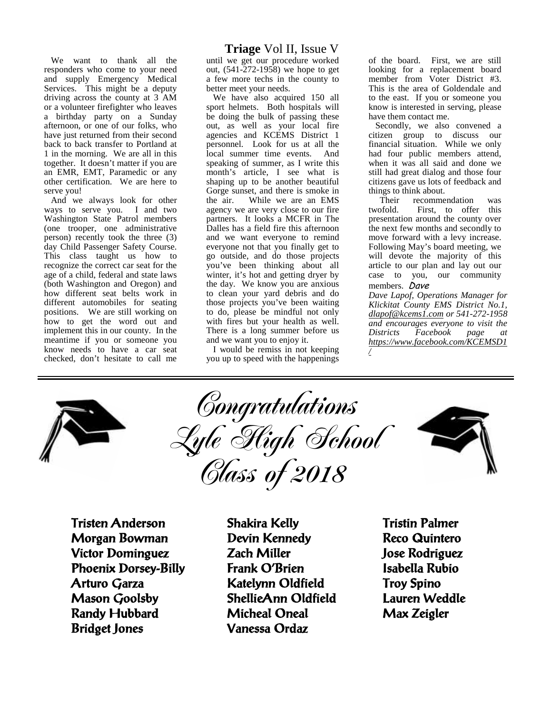We want to thank all the responders who come to your need and supply Emergency Medical Services. This might be a deputy driving across the county at 3 AM or a volunteer firefighter who leaves a birthday party on a Sunday afternoon, or one of our folks, who have just returned from their second back to back transfer to Portland at 1 in the morning. We are all in this together. It doesn't matter if you are an EMR, EMT, Paramedic or any other certification. We are here to serve you!

And we always look for other ways to serve you. I and two Washington State Patrol members (one trooper, one administrative person) recently took the three (3) day Child Passenger Safety Course. This class taught us how to recognize the correct car seat for the age of a child, federal and state laws (both Washington and Oregon) and how different seat belts work in different automobiles for seating positions. We are still working on how to get the word out and implement this in our county. In the meantime if you or someone you know needs to have a car seat checked, don't hesitate to call me

#### **Triage** Vol II, Issue V

until we get our procedure worked out, (541-272-1958) we hope to get a few more techs in the county to better meet your needs.

We have also acquired 150 all sport helmets. Both hospitals will be doing the bulk of passing these out, as well as your local fire agencies and KCEMS District 1 personnel. Look for us at all the local summer time events. And speaking of summer, as I write this month's article, I see what is shaping up to be another beautiful Gorge sunset, and there is smoke in the air. While we are an EMS agency we are very close to our fire twofold. partners. It looks a MCFR in The Dalles has a field fire this afternoon and we want everyone to remind everyone not that you finally get to go outside, and do those projects you've been thinking about all winter, it's hot and getting dryer by the day. We know you are anxious to clean your yard debris and do those projects you've been waiting to do, please be mindful not only with fires but your health as well. There is a long summer before us and we want you to enjoy it.

I would be remiss in not keeping you up to speed with the happenings of the board. First, we are still looking for a replacement board member from Voter District #3. This is the area of Goldendale and to the east. If you or someone you know is interested in serving, please have them contact me.

Secondly, we also convened a citizen group to discuss our financial situation. While we only had four public members attend, when it was all said and done we still had great dialog and those four citizens gave us lots of feedback and things to think about.<br>Their recomme

recommendation was First, to offer this presentation around the county over the next few months and secondly to move forward with a levy increase. Following May's board meeting, we will devote the majority of this article to our plan and lay out our case to you, our community members. *Dave*

*Dave Lapof, Operations Manager for Klickitat County EMS District No.1, dlapof@kcems1.com or 541-272-1958 and encourages everyone to visit the Districts Facebook page at https://www.facebook.com/KCEMSD1 /*







**Tristen Anderson Morgan Bowman Victor Dominguez Phoenix Dorsey-Billy Arturo Garza Mason Goolsby Randy Hubbard Bridget Jones**

**Shakira Kelly Devin Kennedy Zach Miller Frank O'Brien Katelynn Oldfield ShellieAnn Oldfield Micheal Oneal Vanessa Ordaz**

**Tristin Palmer Reco Quintero Jose Rodriguez Isabella Rubio Troy Spino Lauren Weddle Max Zeigler**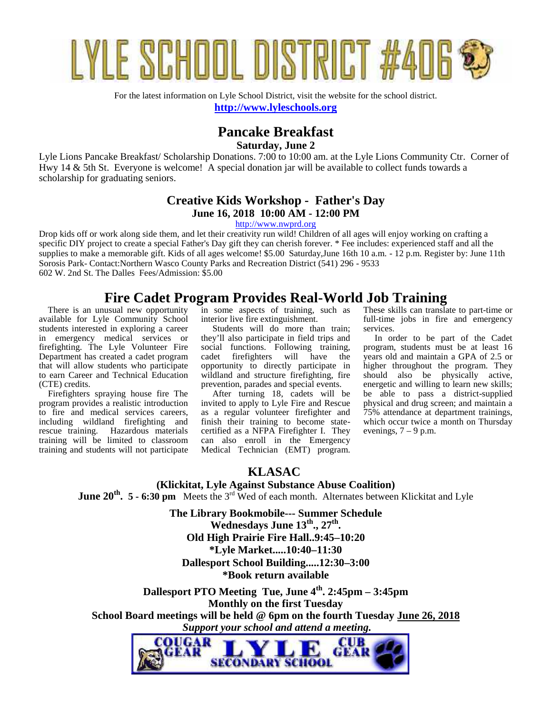

For the latest information on Lyle School District, visit the website for the school district. **http://www.lyleschools.org**

# **Pancake Breakfast**

**Saturday, June 2**

Lyle Lions Pancake Breakfast/ Scholarship Donations. 7:00 to 10:00 am. at the Lyle Lions Community Ctr. Corner of Hwy 14 & 5th St. Everyone is welcome! A special donation jar will be available to collect funds towards a scholarship for graduating seniors.

#### **Creative Kids Workshop - Father's Day June 16, 2018 10:00 AM - 12:00 PM**

http://www.nwprd.org

Drop kids off or work along side them, and let their creativity run wild! Children of all ages will enjoy working on crafting a specific DIY project to create a special Father's Day gift they can cherish forever. \* Fee includes: experienced staff and all the supplies to make a memorable gift. Kids of all ages welcome! \$5.00 Saturday,June 16th 10 a.m. - 12 p.m. Register by: June 11th Sorosis Park- Contact:Northern Wasco County Parks and Recreation District (541) 296 - 9533 602 W. 2nd St. The Dalles Fees/Admission: \$5.00

#### **Fire Cadet Program Provides Real-World Job Training**

 There is an unusual new opportunity available for Lyle Community School students interested in exploring a career in emergency medical services or firefighting. The Lyle Volunteer Fire Department has created a cadet program cadet that will allow students who participate to earn Career and Technical Education (CTE) credits.

 Firefighters spraying house fire The program provides a realistic introduction to fire and medical services careers, including wildland firefighting and rescue training. Hazardous materials training will be limited to classroom training and students will not participate in some aspects of training, such as interior live fire extinguishment.

 Students will do more than train; they'll also participate in field trips and social functions. Following training, firefighters will have the opportunity to directly participate in wildland and structure firefighting, fire prevention, parades and special events.

 After turning 18, cadets will be invited to apply to Lyle Fire and Rescue as a regular volunteer firefighter and finish their training to become state certified as a NFPA Firefighter I. They can also enroll in the Emergency Medical Technician (EMT) program. These skills can translate to part-time or full-time jobs in fire and emergency services.

 In order to be part of the Cadet program, students must be at least 16 years old and maintain a GPA of 2.5 or higher throughout the program. They should also be physically active, energetic and willing to learn new skills; be able to pass a district-supplied physical and drug screen; and maintain a 75% attendance at department trainings, which occur twice a month on Thursday evenings,  $7 - 9$  p.m.

#### **KLASAC**

**(Klickitat, Lyle Against Substance Abuse Coalition) June 20<sup>th</sup>. 5 - 6:30 pm** Meets the 3<sup>rd</sup> Wed of each month. Alternates between Klickitat and Lyle

> **The Library Bookmobile--- Summer Schedule Wednesdays June 13th., 27th . Old High Prairie Fire Hall..9:45–10:20 \*Lyle Market.....10:40–11:30**

**Dallesport School Building.....12:30–3:00 \*Book return available**

**Dallesport PTO Meeting Tue, June 4th . 2:45pm – 3:45pm Monthly on the first Tuesday School Board meetings will be held @ 6pm on the fourth Tuesday June 26, 2018**  *Support your school and attend a meeting.*

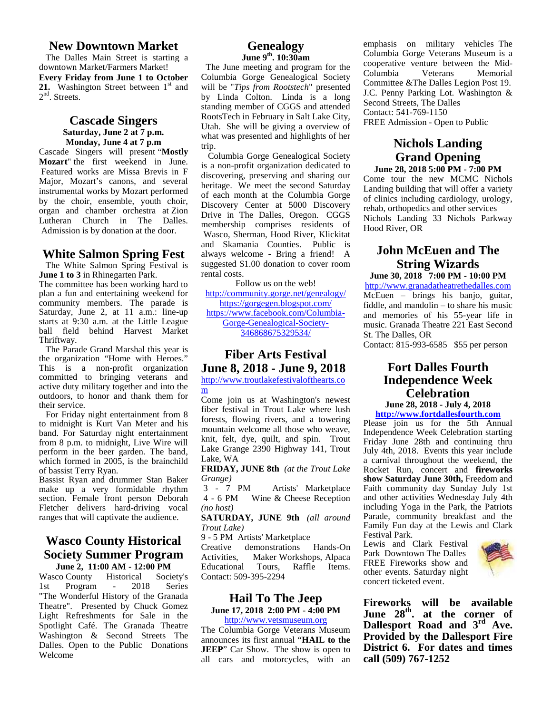#### **New Downtown Market**

The Dalles Main Street is starting a downtown Market/Farmers Market! **Every Friday from June 1 to October** 21. Washington Street between 1<sup>st</sup> and  $2<sup>nd</sup>$ . Streets.

#### **Cascade Singers Saturday, June 2 at 7 p.m. Monday, June 4 at 7 p.m**

Cascade Singers will present "**Mostly Mozart**" the first weekend in June. Featured works are Missa Brevis in F Major, Mozart's canons, and several instrumental works by Mozart performed by the choir, ensemble, youth choir, organ and chamber orchestra at Zion Lutheran Church in The Dalles. Admission is by donation at the door.

#### **White Salmon Spring Fest**

The White Salmon Spring Festival is **June 1 to 3** in Rhinegarten Park. The committee has been working hard to plan a fun and entertaining weekend for community members. The parade is Saturday, June 2, at 11 a.m.: line-up starts at 9:30 a.m. at the Little League ball field behind Harvest Market Thriftway.

The Parade Grand Marshal this year is the organization "Home with Heroes." This is a non-profit organization committed to bringing veterans and active duty military together and into the  $\frac{200}{m}$ outdoors, to honor and thank them for their service.

For Friday night entertainment from 8 to midnight is Kurt Van Meter and his band. For Saturday night entertainment from 8 p.m. to midnight, Live Wire will perform in the beer garden. The band,  $\frac{1}{x}$ which formed in 2005, is the brainchild  $\frac{Lake}{\cdot}$ of bassist Terry Ryan.

Bassist Ryan and drummer Stan Baker Grange)<br>make up a very formidable rhythm 3 - 7 PM make up a very formidable rhythm section. Female front person Deborah Fletcher delivers hard-driving vocal ranges that will captivate the audience.

#### **Wasco County Historical** 9-5 PM **Society Summer Program** Activities.

**June 2, 11:00 AM - 12:00 PM**<br>co County Historical Society's Contact: 509 Wasco County Historical Society's 1st Program - 2018 Series "The Wonderful History of the Granada Theatre". Presented by Chuck Gomez Light Refreshments for Sale in the Spotlight Café. The Granada Theatre Washington & Second Streets The Dalles. Open to the Public Donations Welcome

#### **Genealogy June 9th. 10:30am**

The June meeting and program for the cooperative<br>Columbia Gause Gauselaniaal Section Columbia Gorge Genealogical Society will be "*Tips from Rootstech*" presented by Linda Colton. Linda is a long standing member of CGGS and attended RootsTech in February in Salt Lake City, Utah. She will be giving a overview of what was presented and highlights of her trip.

Columbia Gorge Genealogical Society is a non-profit organization dedicated to discovering, preserving and sharing our heritage. We meet the second Saturday of each month at the Columbia Gorge Discovery Center at 5000 Discovery Drive in The Dalles, Oregon. CGGS membership comprises residents of Wasco, Sherman, Hood River, Klickitat and Skamania Counties. Public is always welcome - Bring a friend! A suggested \$1.00 donation to cover room rental costs.

Follow us on the web! http://community.gorge.net/genealogy/ https://gorgegen.blogspot.com/ https://www.facebook.com/Columbia- Gorge-Genealogical-Society- 346868675329534/

#### **Fiber Arts Festival**

**June 8, 2018 - June 9, 2018** http://www.troutlakefestivalofthearts.co m<sub>a</sub> and the state of the state of the state of the state of the state of the state of the state of the state of the state of the state of the state of the state of the state of the state of the state of the state of the s

Come join us at Washington's newest fiber festival in Trout Lake where lush forests, flowing rivers, and a towering mountain welcome all those who weave, knit, felt, dye, quilt, and spin. Trout Lake Grange 2390 Highway 141, Trout Lake, WA

**FRIDAY, JUNE 8th** *(at the Trout Lake Grange)*

Artists' Marketplace 4 - 6 PM Wine & Cheese Reception *(no host)*

**SATURDAY, JUNE 9th** *(all around Trout Lake)*

9 - 5 PM Artists' Marketplace

demonstrations Hands-On Maker Workshops, Alpaca Tours, Raffle Items. Contact: 509-395-2294

#### **Hail To The Jeep**

**June 17, 2018 2:00 PM - 4:00 PM**

http://www.vetsmuseum.org The Columbia Gorge Veterans Museum announces its first annual "**HAIL to the JEEP**" Car Show. The show is open to all cars and motorcycles, with an emphasis on military vehicles The Columbia Gorge Veterans Museum is a cooperative venture between the Mid- Veterans Memorial Committee &The Dalles Legion Post 19. J.C. Penny Parking Lot. Washington & Second Streets, The Dalles Contact: 541-769-1150 FREE Admission - Open to Public

#### **Nichols Landing Grand Opening**

**June 28, 2018 5:00 PM - 7:00 PM** Come tour the new MCMC Nichols Landing building that will offer a variety of clinics including cardiology, urology, rehab, orthopedics and other services Nichols Landing 33 Nichols Parkway Hood River, OR

#### **John McEuen and The String Wizards**

**June 30, 2018 7:00 PM - 10:00 PM**

http://www.granadatheatrethedalles.com McEuen – brings his banjo, guitar, fiddle, and mandolin – to share his music and memories of his 55-year life in music. Granada Theatre 221 East Second St. The Dalles, OR

Contact: 815-993-6585 \$55 per person

#### **Fort Dalles Fourth Independence Week Celebration**

**June 28, 2018 - July 4, 2018 http://www.fortdallesfourth.com**

Please join us for the 5th Annual Independence Week Celebration starting Friday June 28th and continuing thru July 4th, 2018. Events this year include a carnival throughout the weekend, the Rocket Run, concert and **fireworks show Saturday June 30th,** Freedom and Faith community day Sunday July 1st and other activities Wednesday July 4th including Yoga in the Park, the Patriots Parade, community breakfast and the Family Fun day at the Lewis and Clark Festival Park.

Lewis and Clark Festival Park Downtown The Dalles FREE Fireworks show and other events. Saturday night concert ticketed event.



**Fireworks will be available June 28th . at the corner of Dallesport Road and 3rd Ave. Provided by the Dallesport Fire District 6. For dates and times call (509) 767-1252**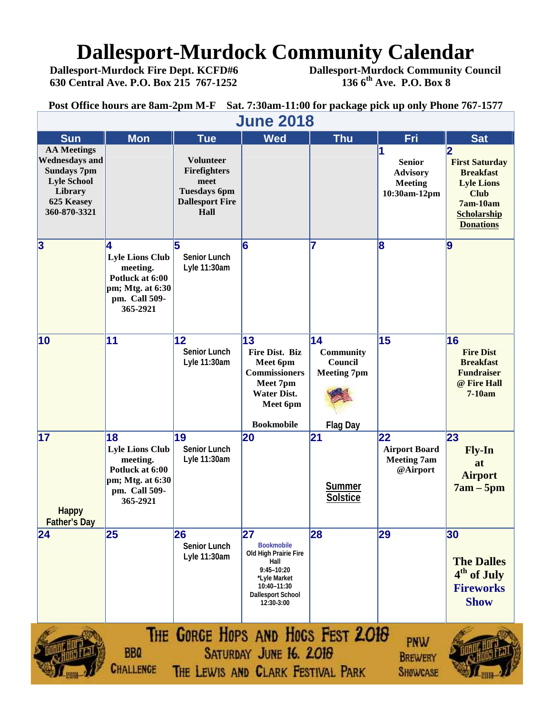# **Dallesport-Murdock Community Calendar**<br>Dallesport-Murdock Fire Dept. KCFD#6 Dallesport-Murdock Community Co

 **630 Central Ave. P.O. Box 215 767-1252 136 6th Ave. P.O. Box 8**

 **Dallesport-Murdock Fire Dept. KCFD#6 Dallesport-Murdock Community Council**

**Post Office hours are 8am-2pm M-F Sat. 7:30am-11:00 for package pick up only Phone 767-1577**

|                                                                                                                                  | <b>June 2018</b>                                                                                             |                                                                                                   |                                                                                                                                                        |                                                         |                                                                    |                                                                                                                                     |  |  |  |  |  |
|----------------------------------------------------------------------------------------------------------------------------------|--------------------------------------------------------------------------------------------------------------|---------------------------------------------------------------------------------------------------|--------------------------------------------------------------------------------------------------------------------------------------------------------|---------------------------------------------------------|--------------------------------------------------------------------|-------------------------------------------------------------------------------------------------------------------------------------|--|--|--|--|--|
| <b>Sun</b>                                                                                                                       | <b>Mon</b>                                                                                                   | <b>Tue</b>                                                                                        | <b>Wed</b>                                                                                                                                             | <b>Thu</b>                                              | Fri                                                                | <b>Sat</b>                                                                                                                          |  |  |  |  |  |
| <b>AA Meetings</b><br><b>Wednesdays and</b><br><b>Sundays 7pm</b><br><b>Lyle School</b><br>Library<br>625 Keasey<br>360-870-3321 |                                                                                                              | <b>Volunteer</b><br>Firefighters<br>meet<br><b>Tuesdays 6pm</b><br><b>Dallesport Fire</b><br>Hall |                                                                                                                                                        |                                                         | <b>Senior</b><br><b>Advisory</b><br><b>Meeting</b><br>10:30am-12pm | <b>First Saturday</b><br><b>Breakfast</b><br><b>Lyle Lions</b><br><b>Club</b><br>7am-10am<br><b>Scholarship</b><br><b>Donations</b> |  |  |  |  |  |
| $\overline{\mathbf{3}}$                                                                                                          | 4<br><b>Lyle Lions Club</b><br>meeting.<br>Potluck at 6:00<br>pm; Mtg. at 6:30<br>pm. Call 509-<br>365-2921  | <b>Senior Lunch</b><br>Lyle 11:30am                                                               | 6                                                                                                                                                      | 17                                                      | 8                                                                  | 9                                                                                                                                   |  |  |  |  |  |
| 10                                                                                                                               | 11                                                                                                           | 12<br><b>Senior Lunch</b><br>Lyle 11:30am                                                         | 13<br>Fire Dist. Biz<br>Meet 6pm<br><b>Commissioners</b><br>Meet 7pm<br><b>Water Dist.</b><br>Meet 6pm                                                 | 14<br><b>Community</b><br>Council<br><b>Meeting 7pm</b> | 15                                                                 | 16<br><b>Fire Dist</b><br><b>Breakfast</b><br><b>Fundraiser</b><br>@ Fire Hall<br>$7-10am$                                          |  |  |  |  |  |
|                                                                                                                                  |                                                                                                              |                                                                                                   | <b>Bookmobile</b>                                                                                                                                      | <b>Flag Day</b>                                         |                                                                    |                                                                                                                                     |  |  |  |  |  |
| 17<br><b>Happy</b><br><b>Father's Day</b>                                                                                        | 18<br><b>Lyle Lions Club</b><br>meeting.<br>Potluck at 6:00<br>pm; Mtg. at 6:30<br>pm. Call 509-<br>365-2921 | 19<br><b>Senior Lunch</b><br>Lyle 11:30am                                                         | 20                                                                                                                                                     | 21<br>Summer<br><b>Solstice</b>                         | 22<br><b>Airport Board</b><br><b>Meeting 7am</b><br>@Airport       | 23<br>Fly-In<br>at<br><b>Airport</b><br>$7am - 5pm$                                                                                 |  |  |  |  |  |
| 24                                                                                                                               | 25                                                                                                           | 26<br><b>Senior Lunch</b><br>Lyle 11:30am                                                         | 27<br><b>Bookmobile</b><br><b>Old High Prairie Fire</b><br>Hall<br>9:45-10:20<br>*Lyle Market<br>10:40-11:30<br><b>Dallesport School</b><br>12:30-3:00 | 28                                                      | 29                                                                 | 30<br><b>The Dalles</b><br>4 <sup>th</sup> of July<br><b>Fireworks</b><br><b>Show</b>                                               |  |  |  |  |  |
|                                                                                                                                  | <b>BBQ</b><br>Challenge                                                                                      | THE GORGE HOPS AND HOGS FEST 2.018<br>THE LEWIS AND CLARK FESTIVAL PARK                           | SATURDAY JUNE 16. 2018                                                                                                                                 |                                                         | <b>PNW</b><br><b>BREWERY</b><br><b>SHOWCASE</b>                    |                                                                                                                                     |  |  |  |  |  |